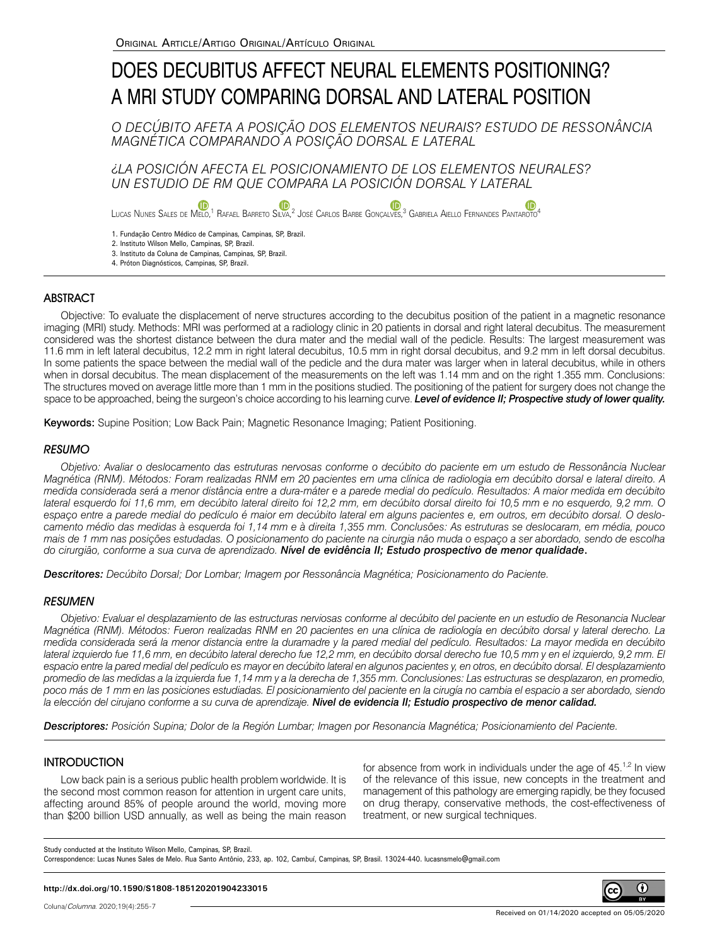# DOES DECUBITUS AFFECT NEURAL ELEMENTS POSITIONING? A MRI STUDY COMPARING DORSAL AND LATERAL POSITION

*O DECÚBITO AFETA A POSIÇÃO DOS ELEMENTOS NEURAIS? ESTUDO DE RESSONÂNCIA MAGNÉTICA COMPARANDO A POSIÇÃO DORSAL E LATERAL*

*¿LA POSICIÓN AFECTA EL POSICIONAMIENTO DE LOS ELEMENTOS NEURALES? UN ESTUDIO DE RM QUE COMPARA LA POSICIÓN DORSAL Y LATERAL*

Lucas Nunes Sales de [Melo,](https://orcid.org/0000-0002-4055-7482) <sup>1</sup> Rafael Barreto [Silva,](https://orcid.org/0000-0002-7382-9966) <sup>2</sup> José Carlos Barbe Gonça[lves,](https://orcid.org/0000-0002-6378-1890) <sup>3</sup> Gabriela Aiello Fernandes Pantaroto<sup>4</sup>

1. Fundação Centro Médico de Campinas, Campinas, SP, Brazil.

2. Instituto Wilson Mello, Campinas, SP, Brazil.

3. Instituto da Coluna de Campinas, Campinas, SP, Brazil.

4. Próton Diagnósticos, Campinas, SP, Brazil.

## **ARSTRACT**

Objective: To evaluate the displacement of nerve structures according to the decubitus position of the patient in a magnetic resonance imaging (MRI) study. Methods: MRI was performed at a radiology clinic in 20 patients in dorsal and right lateral decubitus. The measurement considered was the shortest distance between the dura mater and the medial wall of the pedicle. Results: The largest measurement was 11.6 mm in left lateral decubitus, 12.2 mm in right lateral decubitus, 10.5 mm in right dorsal decubitus, and 9.2 mm in left dorsal decubitus. In some patients the space between the medial wall of the pedicle and the dura mater was larger when in lateral decubitus, while in others when in dorsal decubitus. The mean displacement of the measurements on the left was 1.14 mm and on the right 1.355 mm. Conclusions: The structures moved on average little more than 1 mm in the positions studied. The positioning of the patient for surgery does not change the space to be approached, being the surgeon's choice according to his learning curve. *Level of evidence II; Prospective study of lower quality.*

Keywords: Supine Position; Low Back Pain; Magnetic Resonance Imaging; Patient Positioning.

### **RESUMO**

*Objetivo: Avaliar o deslocamento das estruturas nervosas conforme o decúbito do paciente em um estudo de Ressonância Nuclear Magnética (RNM). Métodos: Foram realizadas RNM em 20 pacientes em uma clínica de radiologia em decúbito dorsal e lateral direito. A medida considerada será a menor distância entre a dura-máter e a parede medial do pedículo. Resultados: A maior medida em decúbito lateral esquerdo foi 11,6 mm, em decúbito lateral direito foi 12,2 mm, em decúbito dorsal direito foi 10,5 mm e no esquerdo, 9,2 mm. O espaço entre a parede medial do pedículo é maior em decúbito lateral em alguns pacientes e, em outros, em decúbito dorsal. O deslocamento médio das medidas à esquerda foi 1,14 mm e à direita 1,355 mm. Conclusões: As estruturas se deslocaram, em média, pouco mais de 1 mm nas posições estudadas. O posicionamento do paciente na cirurgia não muda o espaço a ser abordado, sendo de escolha do cirurgião, conforme a sua curva de aprendizado. Nível de evidência II; Estudo prospectivo de menor qualidade*.

*Descritores: Decúbito Dorsal; Dor Lombar; Imagem por Ressonância Magnética; Posicionamento do Paciente.*

## **RESUMEN**

*Objetivo: Evaluar el desplazamiento de las estructuras nerviosas conforme al decúbito del paciente en un estudio de Resonancia Nuclear Magnética (RNM). Métodos: Fueron realizadas RNM en 20 pacientes en una clínica de radiología en decúbito dorsal y lateral derecho. La medida considerada será la menor distancia entre la duramadre y la pared medial del pedículo. Resultados: La mayor medida en decúbito*  lateral izquierdo fue 11,6 mm, en decúbito lateral derecho fue 12,2 mm, en decúbito dorsal derecho fue 10,5 mm y en el izquierdo, 9,2 mm. El *espacio entre la pared medial del pedículo es mayor en decúbito lateral en algunos pacientes y, en otros, en decúbito dorsal. El desplazamiento promedio de las medidas a la izquierda fue 1,14 mm y a la derecha de 1,355 mm. Conclusiones: Las estructuras se desplazaron, en promedio, poco más de 1 mm en las posiciones estudiadas. El posicionamiento del paciente en la cirugía no cambia el espacio a ser abordado, siendo la elección del cirujano conforme a su curva de aprendizaje. Nivel de evidencia II; Estudio prospectivo de menor calidad.*

*Descriptores: Posición Supina; Dolor de la Región Lumbar; Imagen por Resonancia Magnética; Posicionamiento del Paciente.*

## **INTRODUCTION**

Low back pain is a serious public health problem worldwide. It is the second most common reason for attention in urgent care units, affecting around 85% of people around the world, moving more than \$200 billion USD annually, as well as being the main reason

for absence from work in individuals under the age of  $45$ .<sup>1,2</sup> In view of the relevance of this issue, new concepts in the treatment and management of this pathology are emerging rapidly, be they focused on drug therapy, conservative methods, the cost-effectiveness of treatment, or new surgical techniques.

Study conducted at the Instituto Wilson Mello, Campinas, SP, Brazil.

Correspondence: Lucas Nunes Sales de Melo. Rua Santo Antônio, 233, ap. 102, Cambuí, Campinas, SP, Brasil. 13024-440. lucasnsmelo@gmail.com

#### **http://dx.doi.org/10.1590/S1808-185120201904233015**

Coluna/*Columna*. 2020;19(4):255-7

Received on 01/14/2020 accepted on 05/05/2020

G)

(cc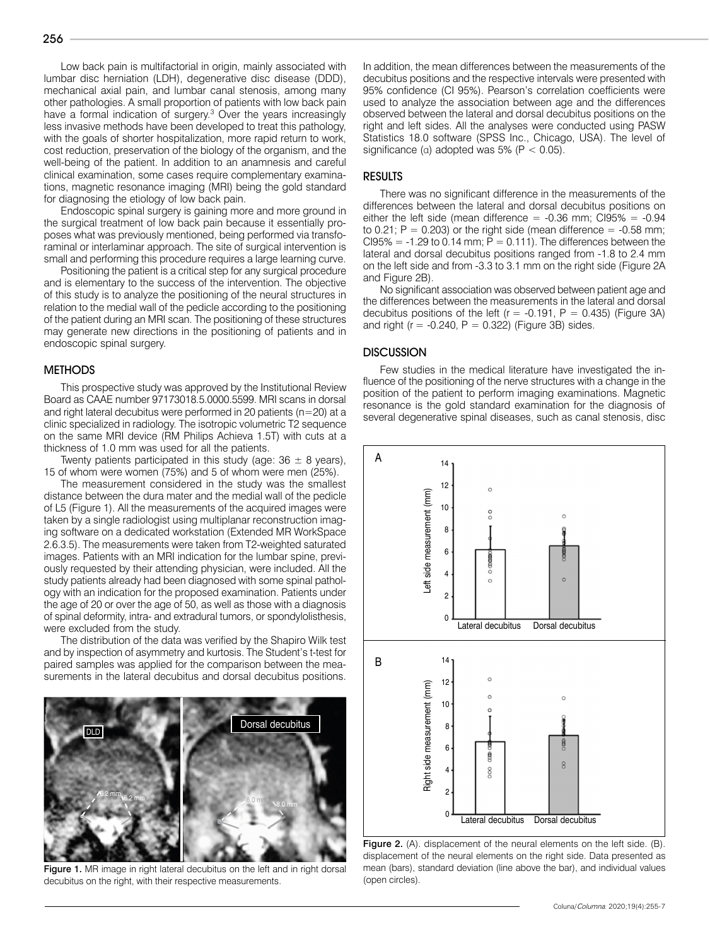Low back pain is multifactorial in origin, mainly associated with lumbar disc herniation (LDH), degenerative disc disease (DDD), mechanical axial pain, and lumbar canal stenosis, among many other pathologies. A small proportion of patients with low back pain have a formal indication of surgery.<sup>3</sup> Over the years increasingly less invasive methods have been developed to treat this pathology, with the goals of shorter hospitalization, more rapid return to work, cost reduction, preservation of the biology of the organism, and the well-being of the patient. In addition to an anamnesis and careful clinical examination, some cases require complementary examinations, magnetic resonance imaging (MRI) being the gold standard for diagnosing the etiology of low back pain.

Endoscopic spinal surgery is gaining more and more ground in the surgical treatment of low back pain because it essentially proposes what was previously mentioned, being performed via transforaminal or interlaminar approach. The site of surgical intervention is small and performing this procedure requires a large learning curve.

Positioning the patient is a critical step for any surgical procedure and is elementary to the success of the intervention. The objective of this study is to analyze the positioning of the neural structures in relation to the medial wall of the pedicle according to the positioning of the patient during an MRI scan. The positioning of these structures may generate new directions in the positioning of patients and in endoscopic spinal surgery.

## **METHODS**

This prospective study was approved by the Institutional Review Board as CAAE number 97173018.5.0000.5599. MRI scans in dorsal and right lateral decubitus were performed in 20 patients (n=20) at a clinic specialized in radiology. The isotropic volumetric T2 sequence on the same MRI device (RM Philips Achieva 1.5T) with cuts at a thickness of 1.0 mm was used for all the patients.

Twenty patients participated in this study (age:  $36 \pm 8$  years), 15 of whom were women (75%) and 5 of whom were men (25%).

The measurement considered in the study was the smallest distance between the dura mater and the medial wall of the pedicle of L5 (Figure 1). All the measurements of the acquired images were taken by a single radiologist using multiplanar reconstruction imaging software on a dedicated workstation (Extended MR WorkSpace 2.6.3.5). The measurements were taken from T2-weighted saturated images. Patients with an MRI indication for the lumbar spine, previously requested by their attending physician, were included. All the study patients already had been diagnosed with some spinal pathology with an indication for the proposed examination. Patients under the age of 20 or over the age of 50, as well as those with a diagnosis of spinal deformity, intra- and extradural tumors, or spondylolisthesis, were excluded from the study.

The distribution of the data was verified by the Shapiro Wilk test and by inspection of asymmetry and kurtosis. The Student's t-test for paired samples was applied for the comparison between the measurements in the lateral decubitus and dorsal decubitus positions.



Figure 1. MR image in right lateral decubitus on the left and in right dorsal decubitus on the right, with their respective measurements.

In addition, the mean differences between the measurements of the decubitus positions and the respective intervals were presented with 95% confidence (CI 95%). Pearson's correlation coefficients were used to analyze the association between age and the differences observed between the lateral and dorsal decubitus positions on the right and left sides. All the analyses were conducted using PASW Statistics 18.0 software (SPSS Inc., Chicago, USA). The level of significance ( $\alpha$ ) adopted was 5% ( $P < 0.05$ ).

#### RESULTS

There was no significant difference in the measurements of the differences between the lateral and dorsal decubitus positions on either the left side (mean difference  $= -0.36$  mm; CI95%  $= -0.94$ to 0.21;  $P = 0.203$  or the right side (mean difference  $= -0.58$  mm;  $C195\% = -1.29$  to 0.14 mm;  $P = 0.111$ ). The differences between the lateral and dorsal decubitus positions ranged from -1.8 to 2.4 mm on the left side and from -3.3 to 3.1 mm on the right side (Figure 2A and Figure 2B).

No significant association was observed between patient age and the differences between the measurements in the lateral and dorsal decubitus positions of the left ( $r = -0.191$ ,  $P = 0.435$ ) (Figure 3A) and right ( $r = -0.240$ ,  $P = 0.322$ ) (Figure 3B) sides.

#### **DISCUSSION**

Few studies in the medical literature have investigated the influence of the positioning of the nerve structures with a change in the position of the patient to perform imaging examinations. Magnetic resonance is the gold standard examination for the diagnosis of several degenerative spinal diseases, such as canal stenosis, disc



Figure 2. (A). displacement of the neural elements on the left side. (B). displacement of the neural elements on the right side. Data presented as mean (bars), standard deviation (line above the bar), and individual values (open circles).